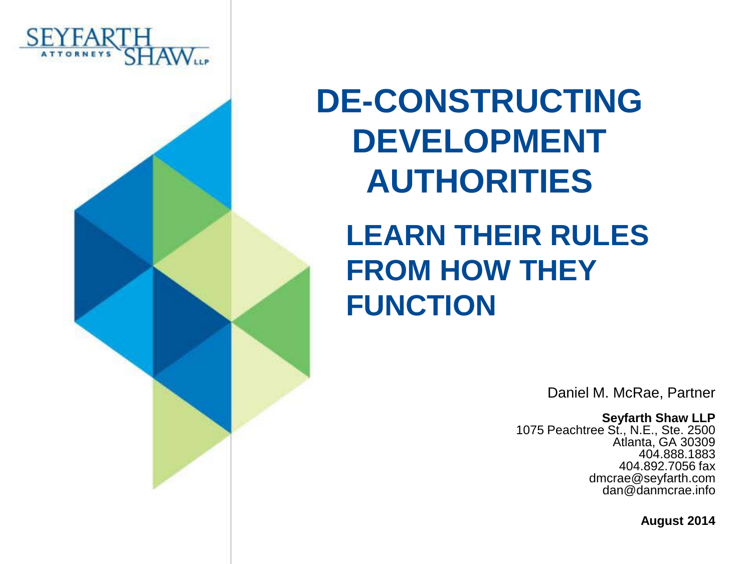



#### **LEARN THEIR RULES FROM HOW THEY FUNCTION**

Daniel M. McRae, Partner

**Seyfarth Shaw LLP**

1075 Peachtree St., N.E., Ste. 2500 Atlanta, GA 30309 404.888.1883 404.892.7056 fax dmcrae@seyfarth.com dan@danmcrae.info

**August 2014**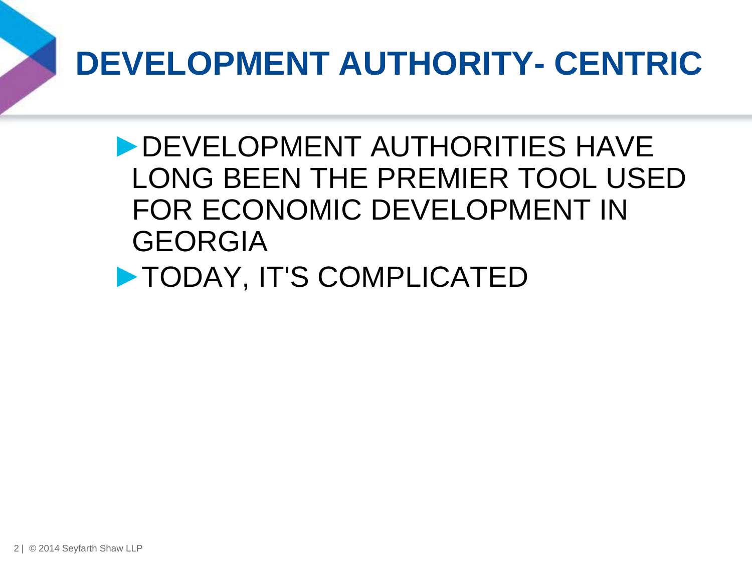# **DEVELOPMENT AUTHORITY- CENTRIC**

►DEVELOPMENT AUTHORITIES HAVE LONG BEEN THE PREMIER TOOL USED FOR ECONOMIC DEVELOPMENT IN GEORGIA

►TODAY, IT'S COMPLICATED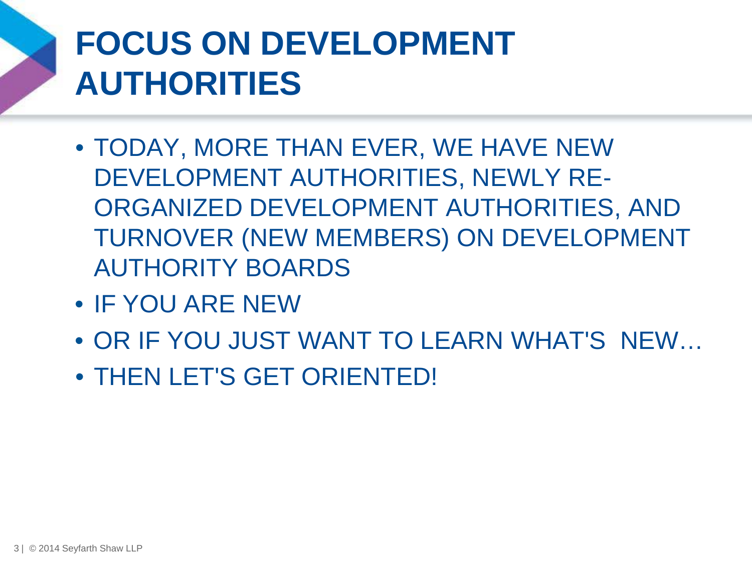# **FOCUS ON DEVELOPMENT AUTHORITIES**

- TODAY, MORE THAN EVER, WE HAVE NEW DEVELOPMENT AUTHORITIES, NEWLY RE-ORGANIZED DEVELOPMENT AUTHORITIES, AND TURNOVER (NEW MEMBERS) ON DEVELOPMENT AUTHORITY BOARDS
- IF YOU ARE NEW
- OR IF YOU JUST WANT TO LEARN WHAT'S NEW…
- THEN LET'S GET ORIENTED!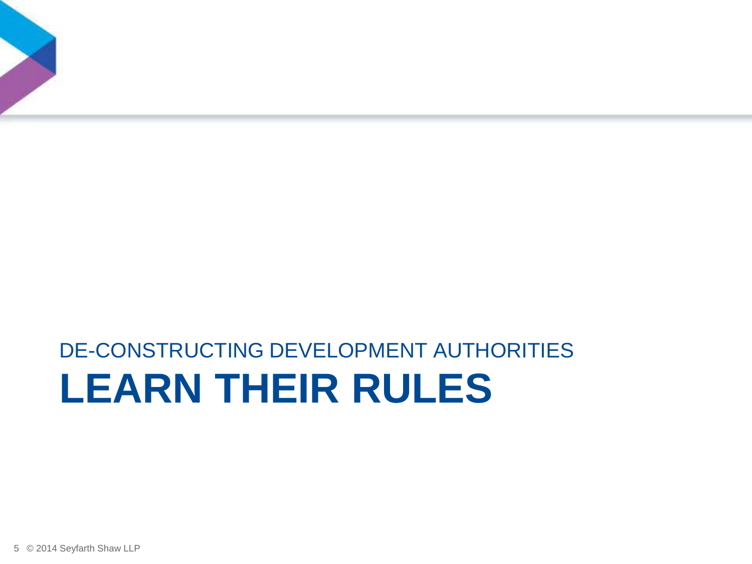## **LEARN THEIR RULES** DE-CONSTRUCTING DEVELOPMENT AUTHORITIES

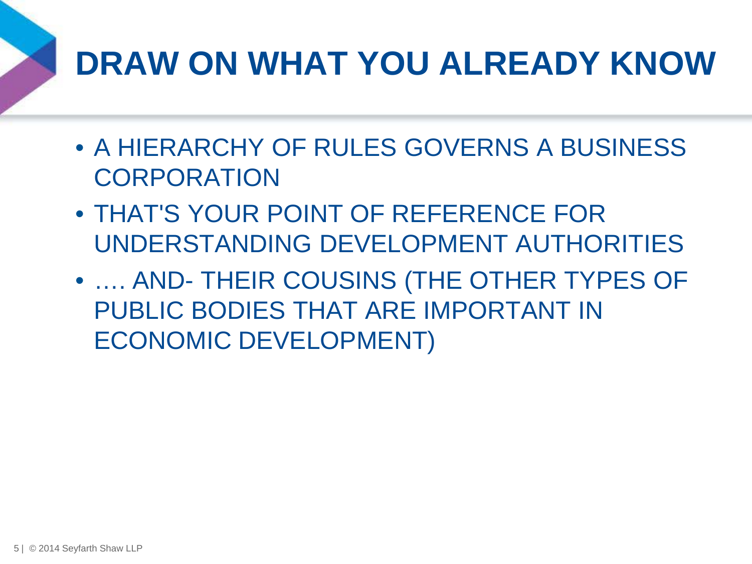# **DRAW ON WHAT YOU ALREADY KNOW**

- A HIERARCHY OF RULES GOVERNS A BUSINESS **CORPORATION**
- THAT'S YOUR POINT OF REFERENCE FOR UNDERSTANDING DEVELOPMENT AUTHORITIES
- …. AND- THEIR COUSINS (THE OTHER TYPES OF PUBLIC BODIES THAT ARE IMPORTANT IN ECONOMIC DEVELOPMENT)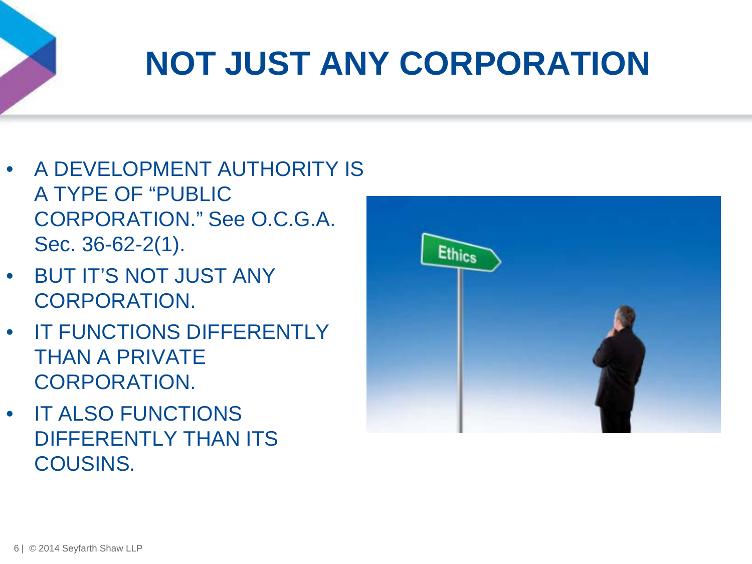# **NOT JUST ANY CORPORATION**

- A DEVELOPMENT AUTHORITY IS A TYPE OF "PUBLIC CORPORATION." See O.C.G.A. Sec. 36-62-2(1).
- BUT IT'S NOT JUST ANY CORPORATION.
- IT FUNCTIONS DIFFERENTLY THAN A PRIVATE CORPORATION.
- IT ALSO FUNCTIONS DIFFERENTLY THAN ITS COUSINS.

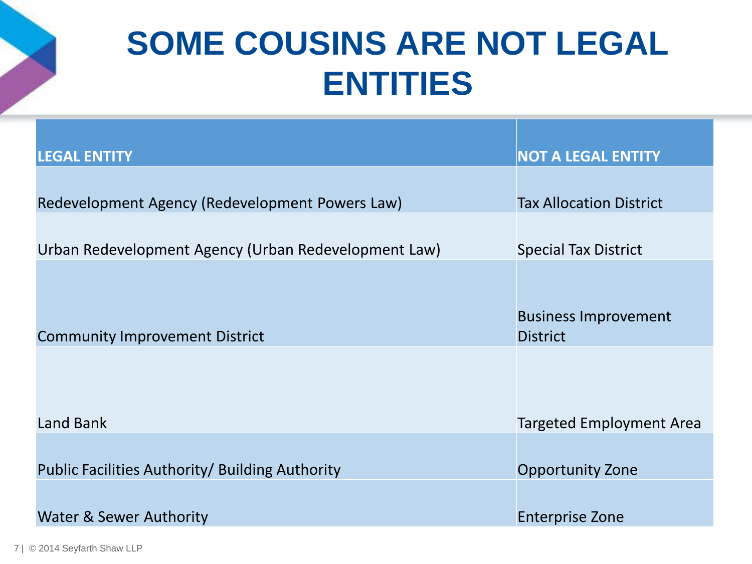## **SOME COUSINS ARE NOT LEGAL ENTITIES**

| <b>LEGAL ENTITY</b>                                  | <b>NOT A LEGAL ENTITY</b>       |  |
|------------------------------------------------------|---------------------------------|--|
|                                                      |                                 |  |
| Redevelopment Agency (Redevelopment Powers Law)      | <b>Tax Allocation District</b>  |  |
|                                                      |                                 |  |
| Urban Redevelopment Agency (Urban Redevelopment Law) | <b>Special Tax District</b>     |  |
|                                                      |                                 |  |
|                                                      |                                 |  |
|                                                      | <b>Business Improvement</b>     |  |
| <b>Community Improvement District</b>                | <b>District</b>                 |  |
|                                                      |                                 |  |
|                                                      |                                 |  |
|                                                      |                                 |  |
| <b>Land Bank</b>                                     | <b>Targeted Employment Area</b> |  |
|                                                      |                                 |  |
| Public Facilities Authority/ Building Authority      | <b>Opportunity Zone</b>         |  |
|                                                      |                                 |  |
| Water & Sewer Authority                              | <b>Enterprise Zone</b>          |  |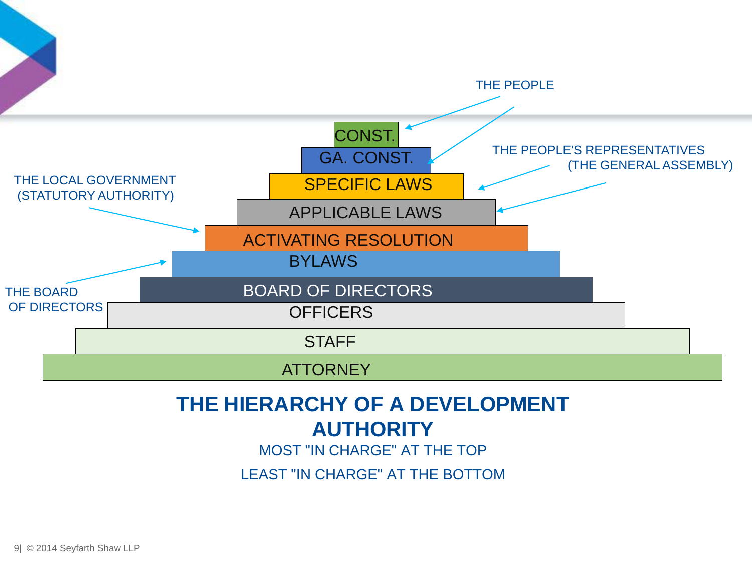

#### **THE HIERARCHY OF A DEVELOPMENT AUTHORITY**

MOST "IN CHARGE" AT THE TOP

LEAST "IN CHARGE" AT THE BOTTOM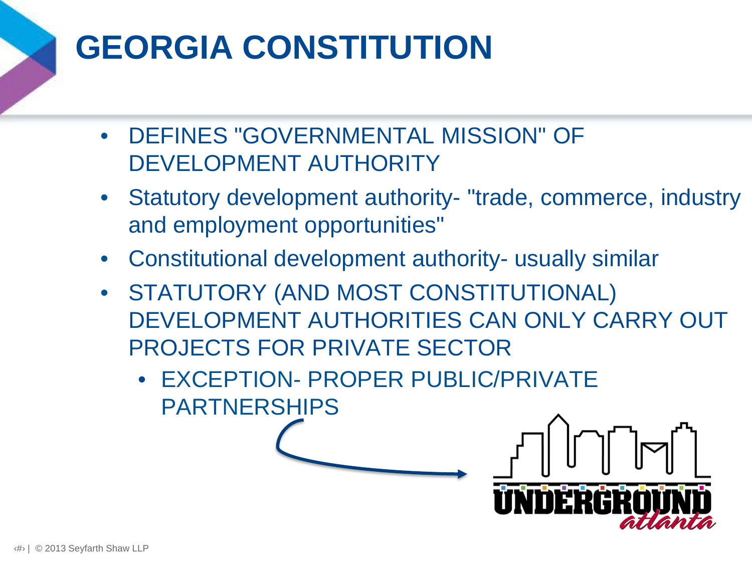# **GEORGIA CONSTITUTION**

- DEFINES "GOVERNMENTAL MISSION" OF DEVELOPMENT AUTHORITY
- Statutory development authority- "trade, commerce, industry and employment opportunities"
- Constitutional development authority- usually similar
- STATUTORY (AND MOST CONSTITUTIONAL) DEVELOPMENT AUTHORITIES CAN ONLY CARRY OUT PROJECTS FOR PRIVATE SECTOR
	- EXCEPTION- PROPER PUBLIC/PRIVATE PARTNERSHIPS

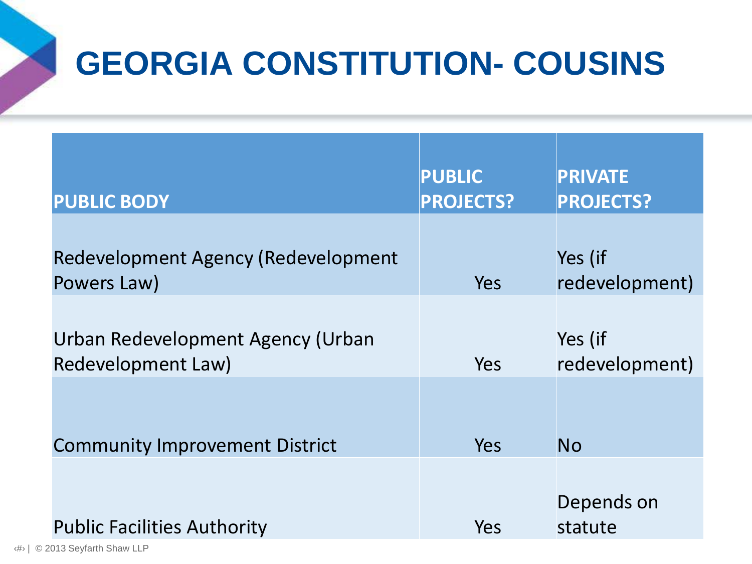# **GEORGIA CONSTITUTION- COUSINS**

| <b>PUBLIC BODY</b>                                      | <b>PUBLIC</b><br><b>PROJECTS?</b> | <b>PRIVATE</b><br><b>PROJECTS?</b> |
|---------------------------------------------------------|-----------------------------------|------------------------------------|
| Redevelopment Agency (Redevelopment<br>Powers Law)      | <b>Yes</b>                        | Yes (if<br>redevelopment)          |
| Urban Redevelopment Agency (Urban<br>Redevelopment Law) | Yes                               | Yes (if<br>redevelopment)          |
| <b>Community Improvement District</b>                   | <b>Yes</b>                        | <b>No</b>                          |
| <b>Public Facilities Authority</b>                      | Yes                               | Depends on<br>statute              |

‹#› | © 2013 Seyfarth Shaw LLP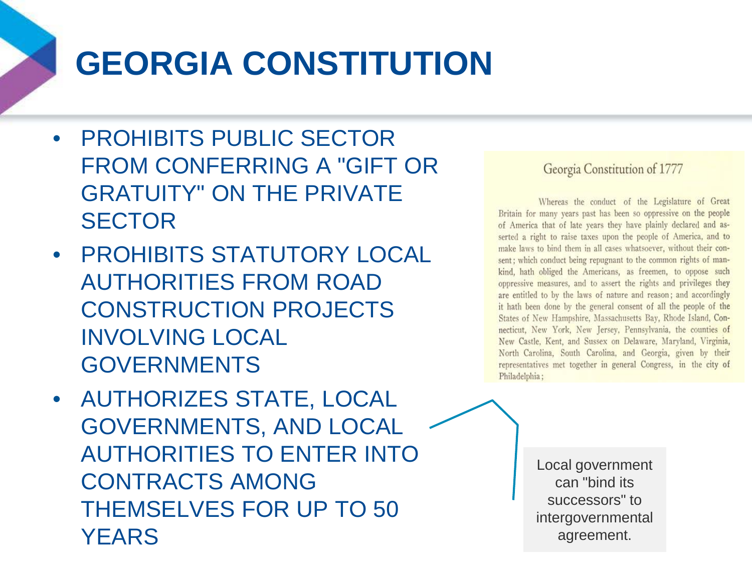# **GEORGIA CONSTITUTION**

- PROHIBITS PUBLIC SECTOR FROM CONFERRING A "GIFT OR GRATUITY" ON THE PRIVATE **SECTOR**
- PROHIBITS STATUTORY LOCAL AUTHORITIES FROM ROAD CONSTRUCTION PROJECTS INVOLVING LOCAL GOVERNMENTS
- AUTHORIZES STATE, LOCAL GOVERNMENTS, AND LOCAL AUTHORITIES TO ENTER INTO CONTRACTS AMONG THEMSELVES FOR UP TO 50 YEARS

#### Georgia Constitution of 1777

Whereas the conduct of the Legislature of Great Britain for many years past has been so oppressive on the people of America that of late years they have plainly declared and asserted a right to raise taxes upon the people of America, and to make laws to bind them in all cases whatsoever, without their consent; which conduct being repugnant to the common rights of mankind, hath obliged the Americans, as freemen, to oppose such oppressive measures, and to assert the rights and privileges they are entitled to by the laws of nature and reason; and accordingly it hath been done by the general consent of all the people of the States of New Hampshire, Massachusetts Bay, Rhode Island, Connecticut, New York, New Jersey, Pennsylvania, the counties of New Castle, Kent, and Sussex on Delaware, Maryland, Virginia, North Carolina, South Carolina, and Georgia, given by their representatives met together in general Congress, in the city of Philadelphia;

> Local government can "bind its successors" to intergovernmental agreement.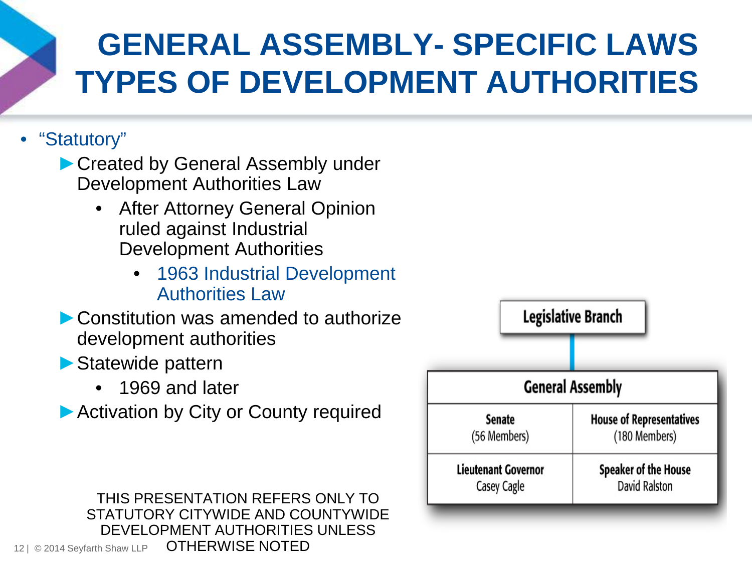## **GENERAL ASSEMBLY- SPECIFIC LAWS TYPES OF DEVELOPMENT AUTHORITIES**

#### • "Statutory"

► Created by General Assembly under Development Authorities Law

- **After Attorney General Opinion** ruled against Industrial Development Authorities
	- 1963 Industrial Development Authorities Law
- ▶ Constitution was amended to authorize development authorities
- ►Statewide pattern
	- 1969 and later
- ▶ Activation by City or County required



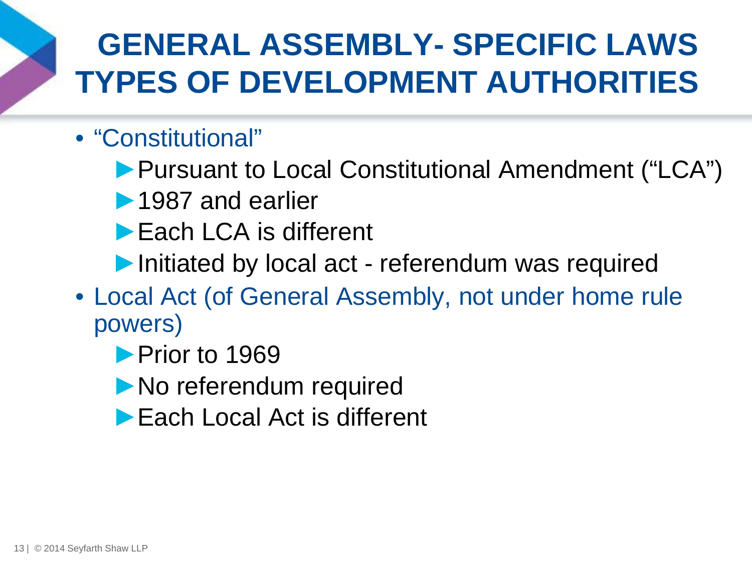## **GENERAL ASSEMBLY- SPECIFIC LAWS TYPES OF DEVELOPMENT AUTHORITIES**

#### • "Constitutional"

- ►Pursuant to Local Constitutional Amendment ("LCA")
- ▶ 1987 and earlier
- ► Each LCA is different
- ▶Initiated by local act referendum was required
- Local Act (of General Assembly, not under home rule powers)
	- ▶ Prior to 1969
	- ▶ No referendum required
	- ►Each Local Act is different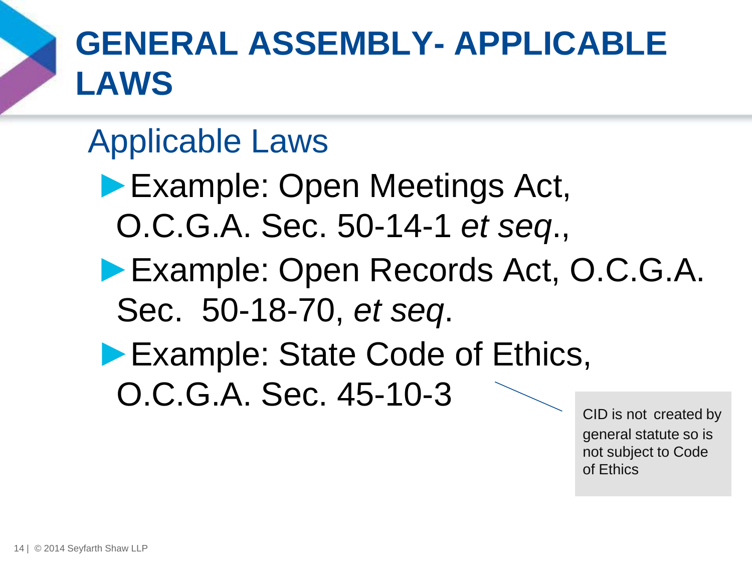

# **GENERAL ASSEMBLY- APPLICABLE LAWS**

## Applicable Laws

- ►Example: Open Meetings Act, O.C.G.A. Sec. 50-14-1 *et seq*.,
- ►Example: Open Records Act, O.C.G.A. Sec. 50-18-70, *et seq*.
- ▶ Example: State Code of Ethics, O.C.G.A. Sec. 45-10-3

CID is not created by general statute so is not subject to Code of Ethics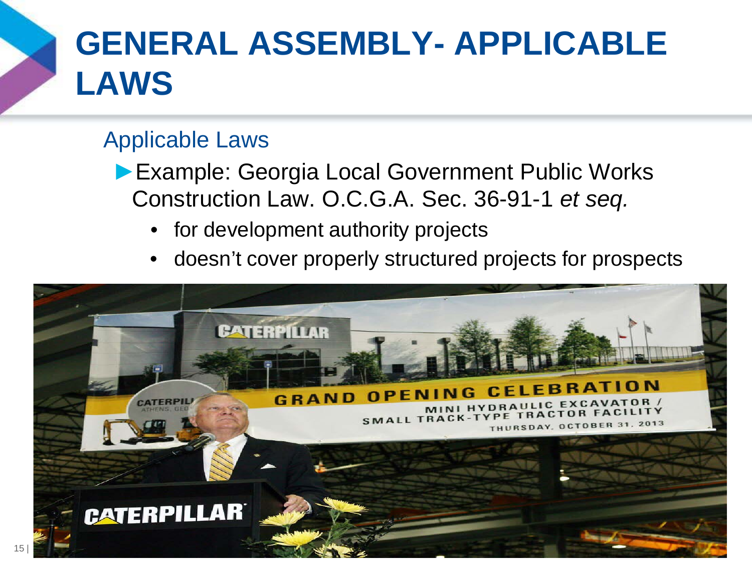

# **GENERAL ASSEMBLY- APPLICABLE LAWS**

#### Applicable Laws

- ►Example: Georgia Local Government Public Works Construction Law. O.C.G.A. Sec. 36-91-1 *et seq.*
	- for development authority projects
	- doesn't cover properly structured projects for prospects

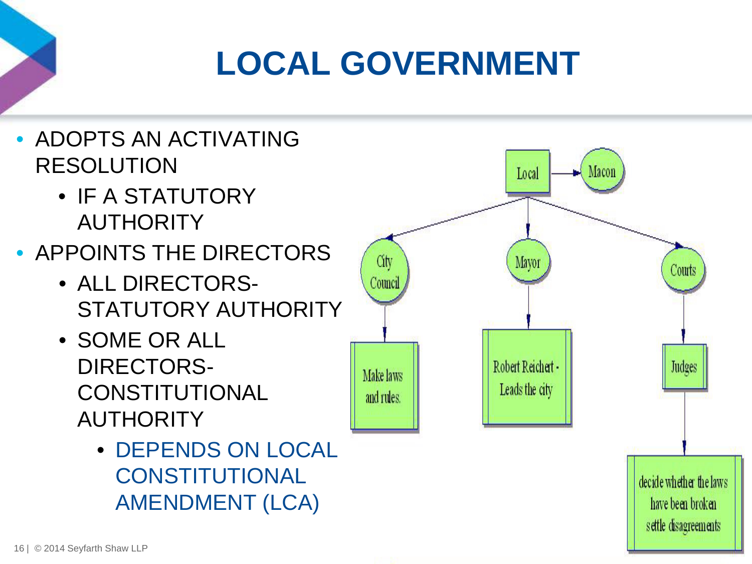# **LOCAL GOVERNMENT**

- ADOPTS AN ACTIVATING RESOLUTION
	- IF A STATUTORY **AUTHORITY**
- APPOINTS THE DIRECTORS
	- ALL DIRECTORS-STATUTORY AUTHORITY
	- SOME OR ALL DIRECTORS-**CONSTITUTIONAL AUTHORITY** 
		- DEPENDS ON LOCAL **CONSTITUTIONAL** AMENDMENT (LCA)

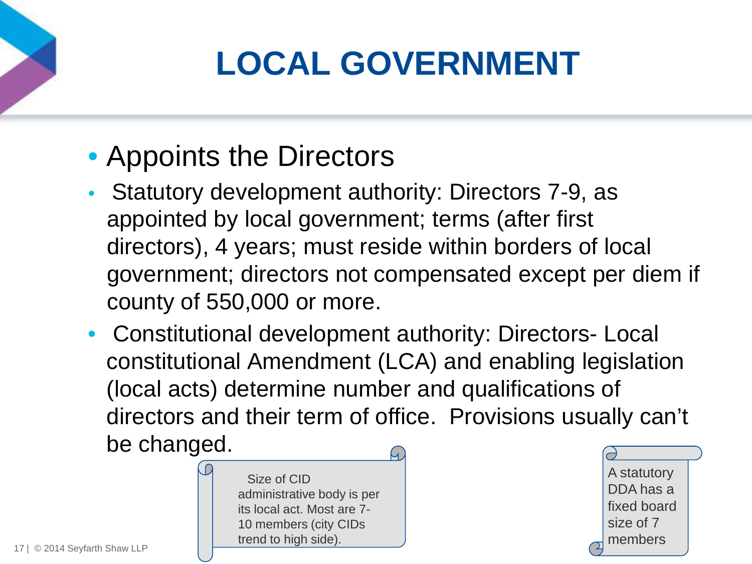# **LOCAL GOVERNMENT**

#### • Appoints the Directors

- Statutory development authority: Directors 7-9, as appointed by local government; terms (after first directors), 4 years; must reside within borders of local government; directors not compensated except per diem if county of 550,000 or more.
- Constitutional development authority: Directors- Local constitutional Amendment (LCA) and enabling legislation (local acts) determine number and qualifications of directors and their term of office. Provisions usually can't be changed.



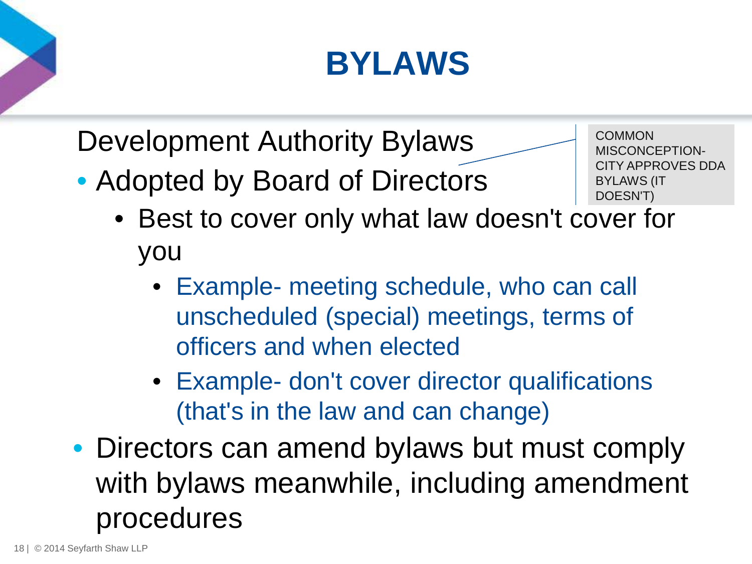# **BYLAWS**

Development Authority Bylaws

• Adopted by Board of Directors

- **COMMON** MISCONCEPTION-CITY APPROVES DDA BYLAWS (IT DOESN'T)
- Best to cover only what law doesn't cover for you
	- Example- meeting schedule, who can call unscheduled (special) meetings, terms of officers and when elected
	- Example- don't cover director qualifications (that's in the law and can change)
- Directors can amend bylaws but must comply with bylaws meanwhile, including amendment procedures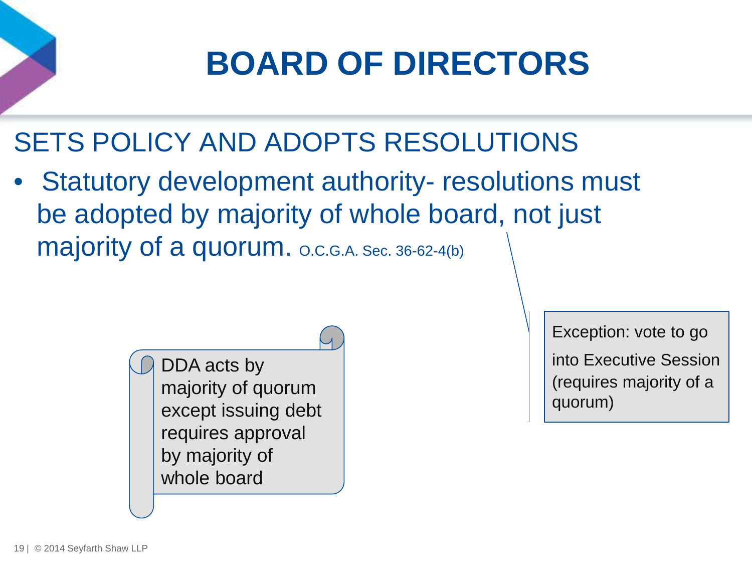

SETS POLICY AND ADOPTS RESOLUTIONS

• Statutory development authority- resolutions must be adopted by majority of whole board, not just majority of a quorum. O.C.G.A. Sec. 36-62-4(b)

> DDA acts by majority of quorum except issuing debt requires approval by majority of whole board

Exception: vote to go into Executive Session (requires majority of a quorum)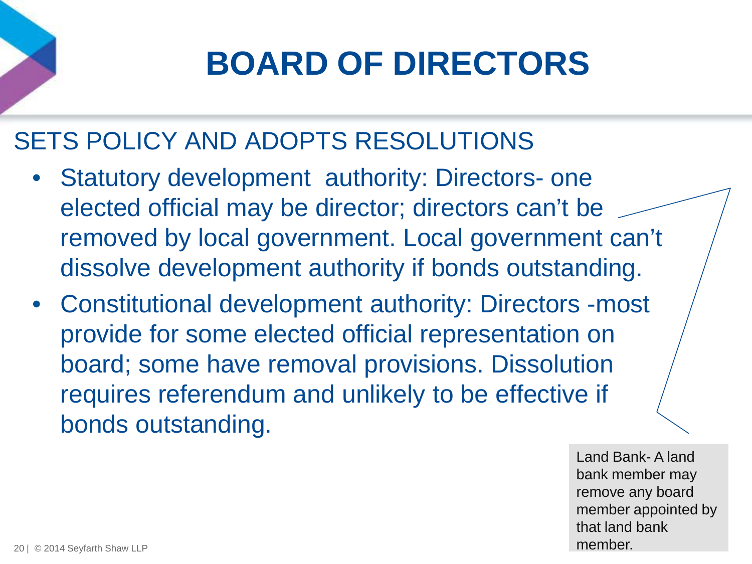# **BOARD OF DIRECTORS**

#### SETS POLICY AND ADOPTS RESOLUTIONS

- Statutory development authority: Directors- one elected official may be director; directors can't be removed by local government. Local government can't dissolve development authority if bonds outstanding.
- Constitutional development authority: Directors -most provide for some elected official representation on board; some have removal provisions. Dissolution requires referendum and unlikely to be effective if bonds outstanding.

Land Bank- A land bank member may remove any board member appointed by that land bank member.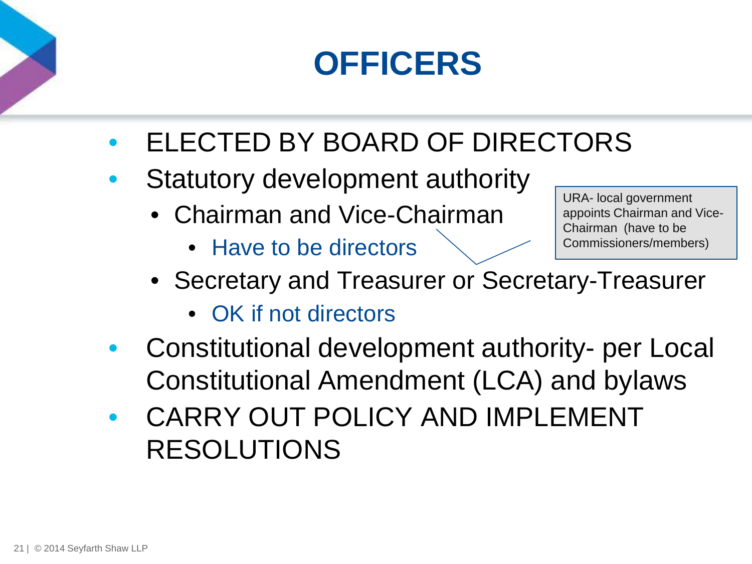# **OFFICERS**

- ELECTED BY BOARD OF DIRECTORS
- Statutory development authority
	- Chairman and Vice-Chairman
		- Have to be directors

URA- local government appoints Chairman and Vice-Chairman (have to be Commissioners/members)

- Secretary and Treasurer or Secretary-Treasurer
	- OK if not directors
- Constitutional development authority- per Local Constitutional Amendment (LCA) and bylaws
- CARRY OUT POLICY AND IMPLEMENT RESOLUTIONS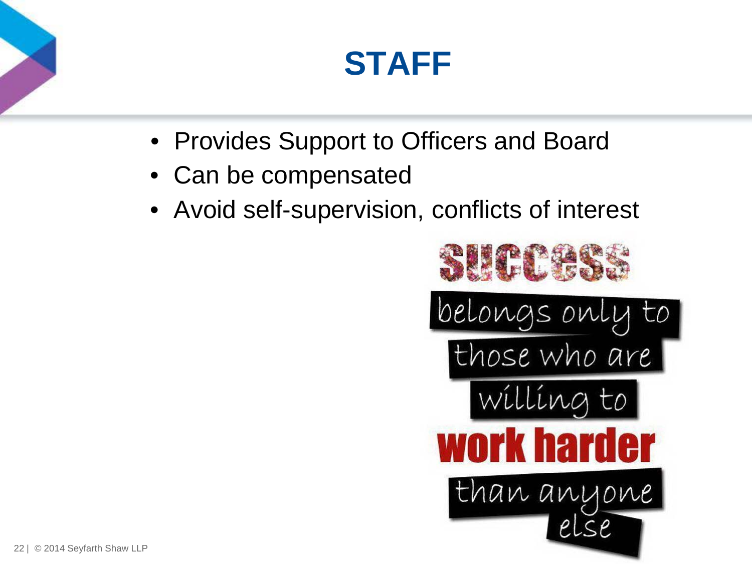## **STAFF**

- Provides Support to Officers and Board
- Can be compensated
- Avoid self-supervision, conflicts of interest

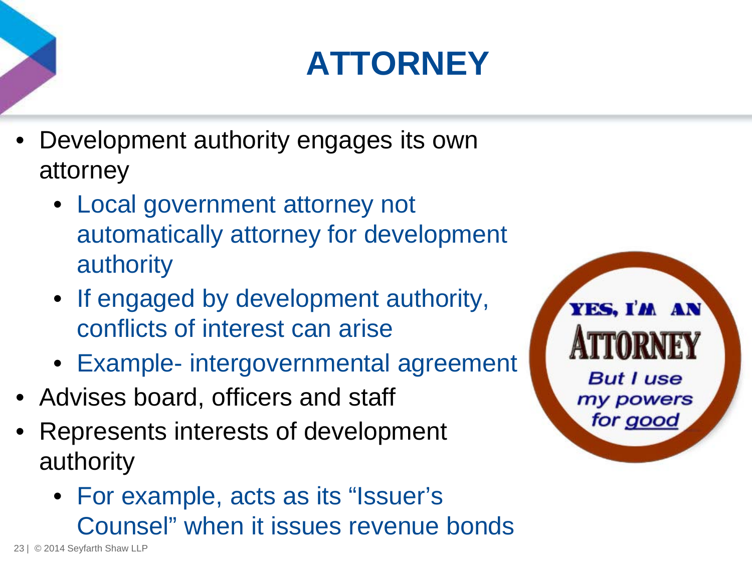# **ATTORNEY**

- Development authority engages its own attorney
	- Local government attorney not automatically attorney for development authority
	- If engaged by development authority, conflicts of interest can arise
	- Example- intergovernmental agreement
- Advises board, officers and staff
- Represents interests of development authority
	- For example, acts as its "Issuer's Counsel" when it issues revenue bonds

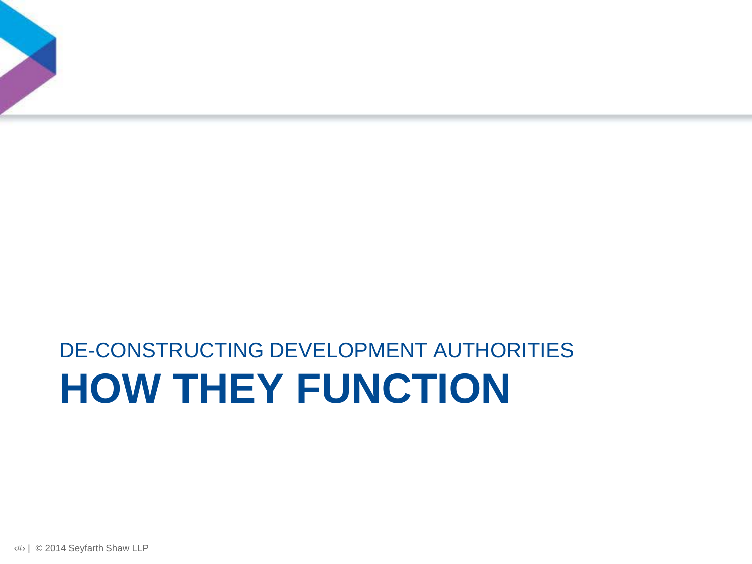## **HOW THEY FUNCTION** DE-CONSTRUCTING DEVELOPMENT AUTHORITIES

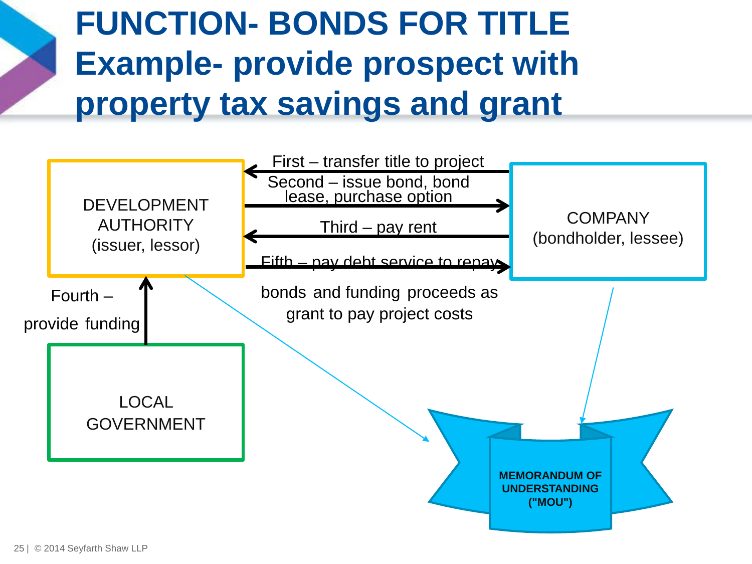# **FUNCTION- BONDS FOR TITLE Example- provide prospect with property tax savings and grant**

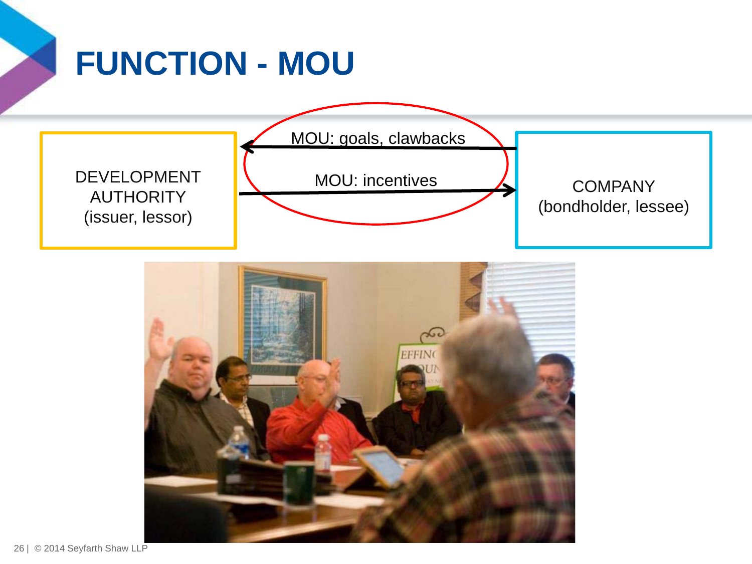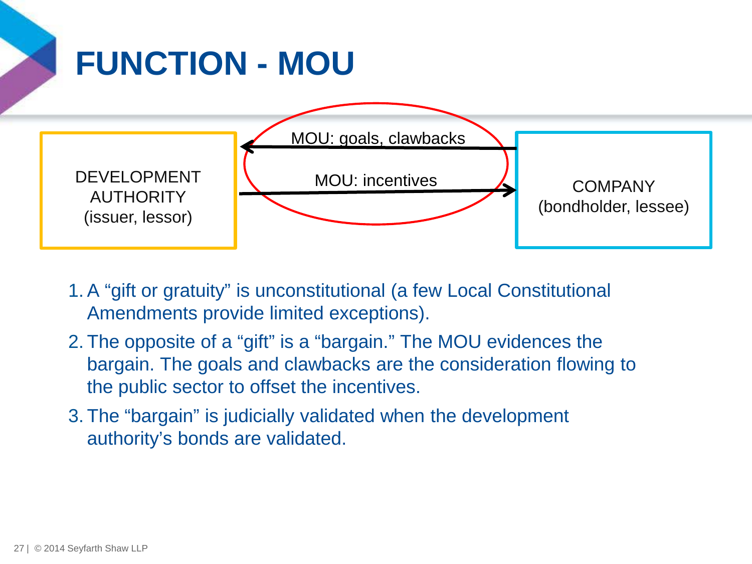

- 1. A "gift or gratuity" is unconstitutional (a few Local Constitutional Amendments provide limited exceptions).
- 2. The opposite of a "gift" is a "bargain." The MOU evidences the bargain. The goals and clawbacks are the consideration flowing to the public sector to offset the incentives.
- 3. The "bargain" is judicially validated when the development authority's bonds are validated.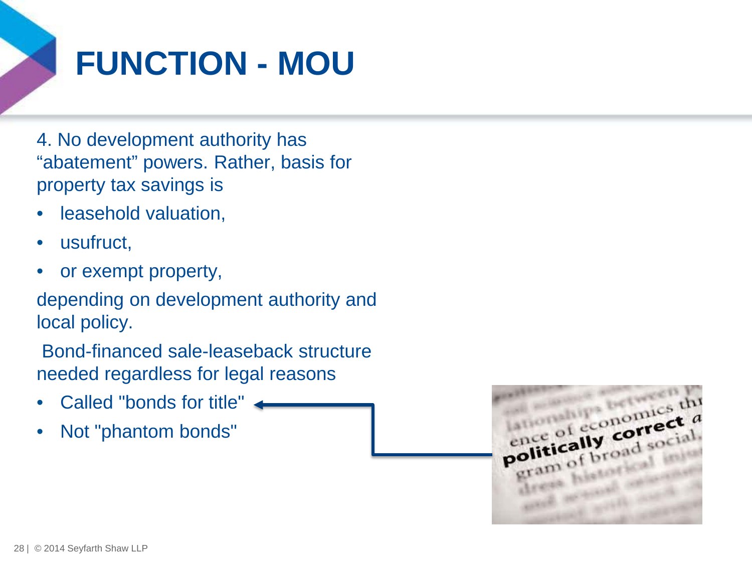

# **FUNCTION - MOU**

4. No development authority has "abatement" powers. Rather, basis for property tax savings is

- leasehold valuation,
- usufruct,
- or exempt property,

depending on development authority and local policy.

Bond-financed sale-leaseback structure needed regardless for legal reasons

- Called "bonds for title"
- Not "phantom bonds"

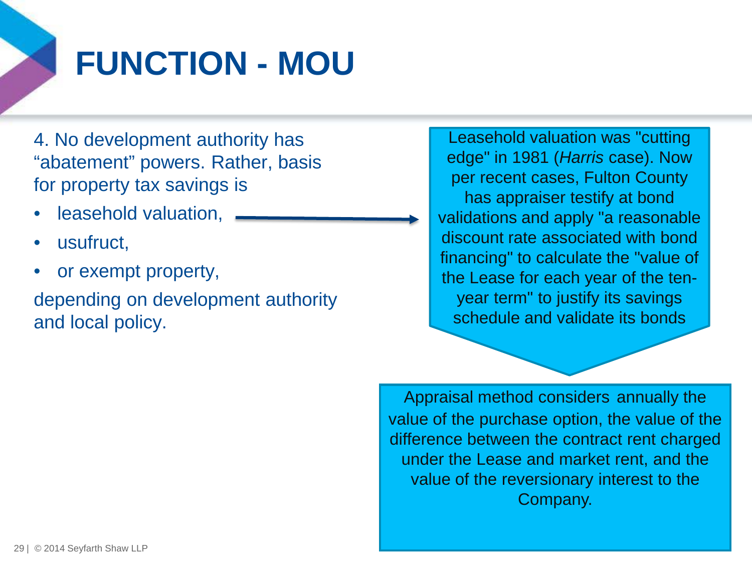

# **FUNCTION - MOU**

4. No development authority has "abatement" powers. Rather, basis for property tax savings is

- leasehold valuation,
- usufruct.
- or exempt property,

depending on development authority and local policy.

Leasehold valuation was "cutting edge" in 1981 (*Harris* case). Now per recent cases, Fulton County has appraiser testify at bond validations and apply "a reasonable discount rate associated with bond financing" to calculate the "value of the Lease for each year of the tenyear term" to justify its savings schedule and validate its bonds

Appraisal method considers annually the value of the purchase option, the value of the difference between the contract rent charged under the Lease and market rent, and the value of the reversionary interest to the Company.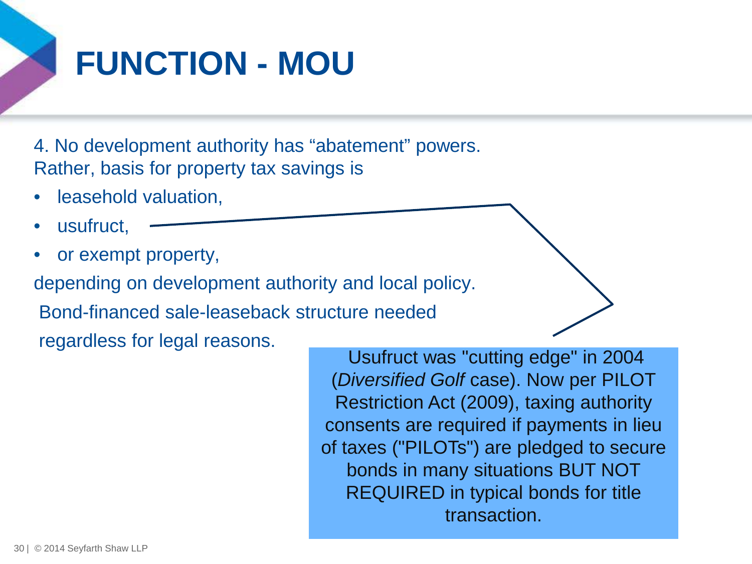

# **FUNCTION - MOU**

4. No development authority has "abatement" powers. Rather, basis for property tax savings is

- leasehold valuation,
- usufruct,
- or exempt property,

depending on development authority and local policy.

Bond-financed sale-leaseback structure needed

regardless for legal reasons.

Usufruct was "cutting edge" in 2004 (*Diversified Golf* case). Now per PILOT Restriction Act (2009), taxing authority consents are required if payments in lieu of taxes ("PILOTs") are pledged to secure bonds in many situations BUT NOT REQUIRED in typical bonds for title transaction.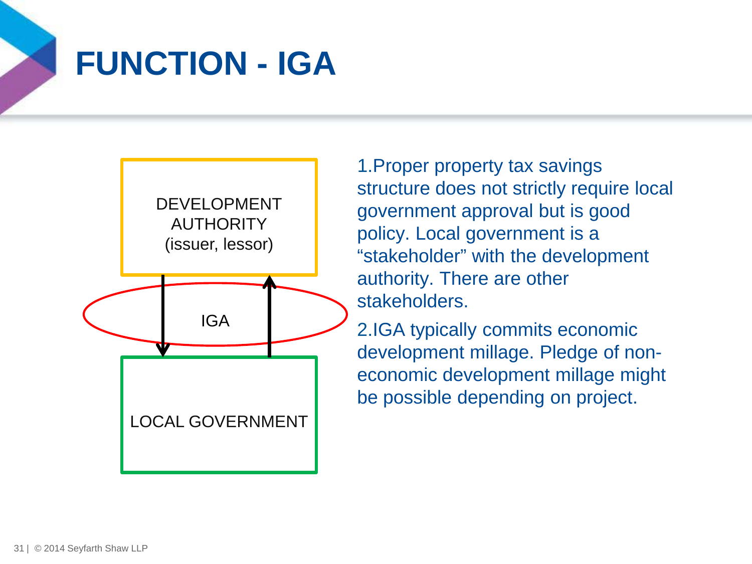### **FUNCTION - IGA**



1.Proper property tax savings structure does not strictly require local government approval but is good policy. Local government is a "stakeholder" with the development authority. There are other stakeholders.

2.IGA typically commits economic development millage. Pledge of noneconomic development millage might be possible depending on project.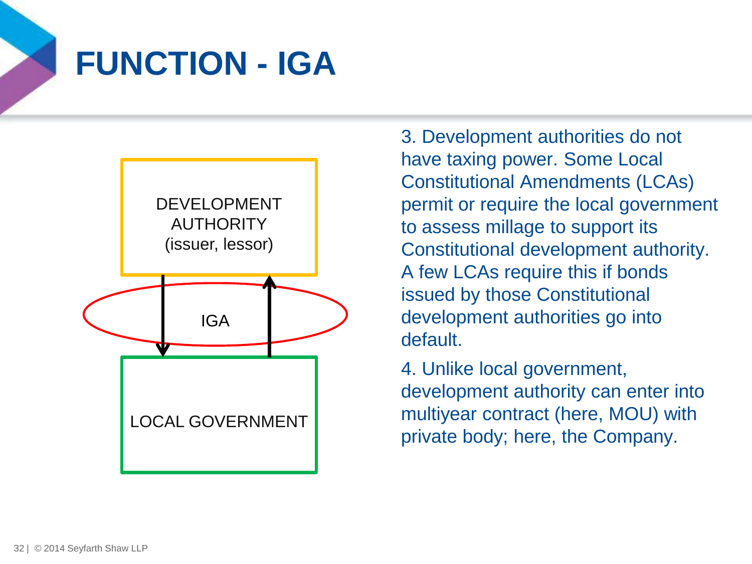

## **FUNCTION - IGA**



3. Development authorities do not have taxing power. Some Local Constitutional Amendments (LCAs) permit or require the local government to assess millage to support its Constitutional development authority. A few LCAs require this if bonds issued by those Constitutional development authorities go into default.

4. Unlike local government, development authority can enter into multiyear contract (here, MOU) with private body; here, the Company.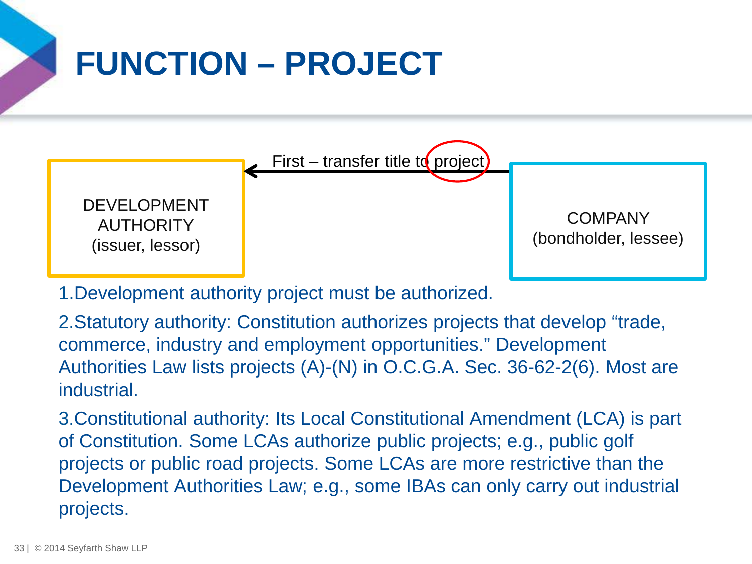# **FUNCTION – PROJECT**



1.Development authority project must be authorized.

2.Statutory authority: Constitution authorizes projects that develop "trade, commerce, industry and employment opportunities." Development Authorities Law lists projects (A)-(N) in O.C.G.A. Sec. 36-62-2(6). Most are industrial.

3.Constitutional authority: Its Local Constitutional Amendment (LCA) is part of Constitution. Some LCAs authorize public projects; e.g., public golf projects or public road projects. Some LCAs are more restrictive than the Development Authorities Law; e.g., some IBAs can only carry out industrial projects.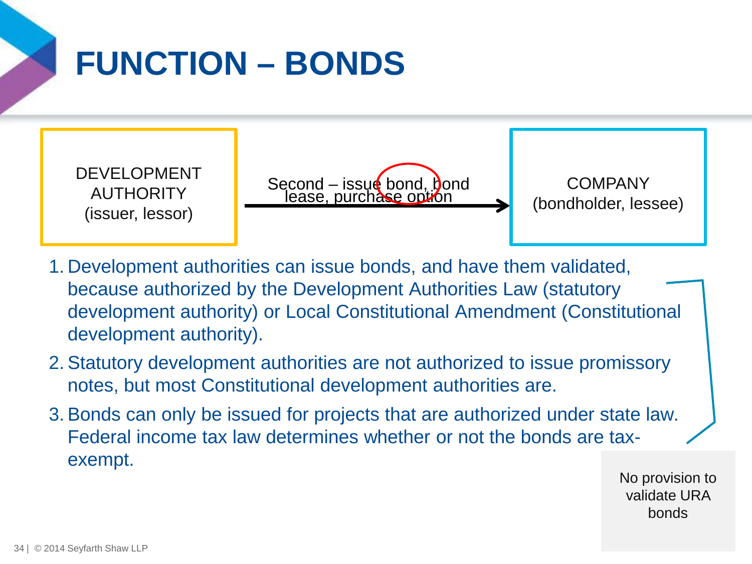

# **FUNCTION – BONDS**

DEVELOPMENT AUTHORITY (issuer, lessor)

Second – issue bond, bond<br>lease, purchase option

COMPANY (bondholder, lessee)

- 1. Development authorities can issue bonds, and have them validated, because authorized by the Development Authorities Law (statutory development authority) or Local Constitutional Amendment (Constitutional development authority).
- 2. Statutory development authorities are not authorized to issue promissory notes, but most Constitutional development authorities are.
- 3. Bonds can only be issued for projects that are authorized under state law. Federal income tax law determines whether or not the bonds are taxexempt.

No provision to validate URA bonds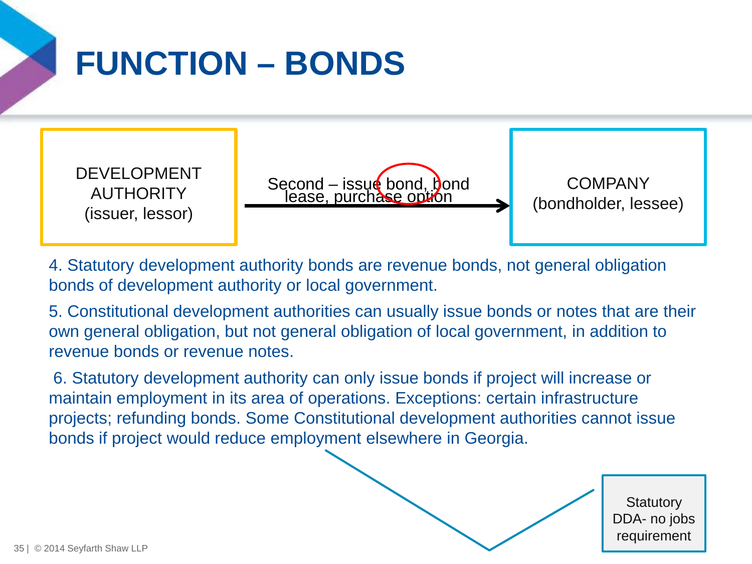

# **FUNCTION – BONDS**

DEVELOPMENT **AUTHORITY** (issuer, lessor)

Second – issue bond, bond<br>lease, purchase option

COMPANY (bondholder, lessee)

4. Statutory development authority bonds are revenue bonds, not general obligation bonds of development authority or local government.

5. Constitutional development authorities can usually issue bonds or notes that are their own general obligation, but not general obligation of local government, in addition to revenue bonds or revenue notes.

6. Statutory development authority can only issue bonds if project will increase or maintain employment in its area of operations. Exceptions: certain infrastructure projects; refunding bonds. Some Constitutional development authorities cannot issue bonds if project would reduce employment elsewhere in Georgia.

**Statutory** DDA- no jobs requirement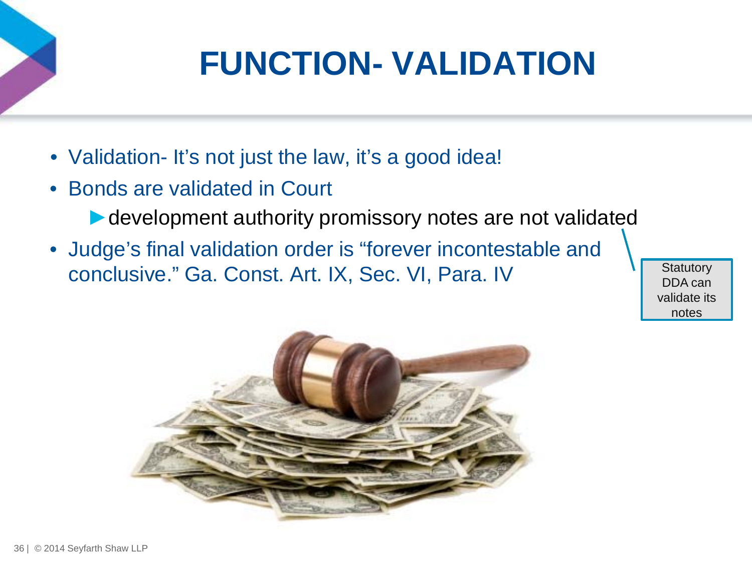# **FUNCTION- VALIDATION**

- Validation-It's not just the law, it's a good idea!
- Bonds are validated in Court
	- ► development authority promissory notes are not validated
- Judge's final validation order is "forever incontestable and conclusive." Ga. Const. Art. IX, Sec. VI, Para. IV

DDA can validate its notes

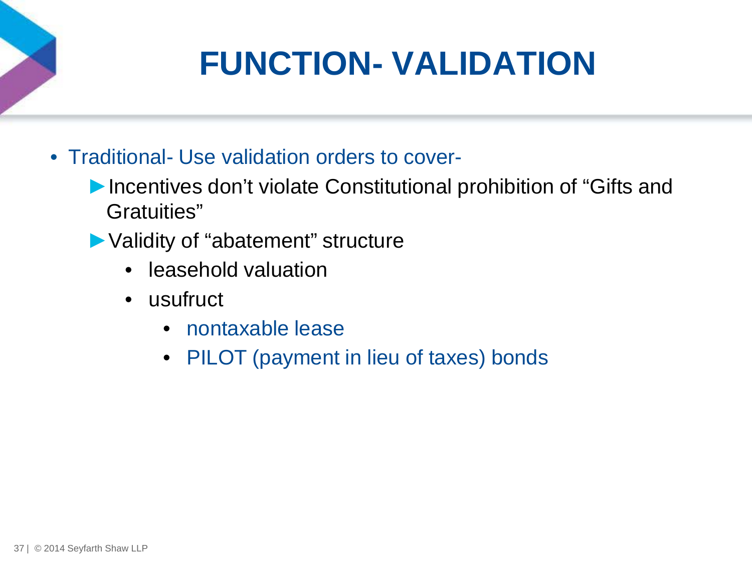# **FUNCTION- VALIDATION**

- Traditional- Use validation orders to cover-
	- ▶Incentives don't violate Constitutional prohibition of "Gifts and Gratuities"
	- ►Validity of "abatement" structure
		- leasehold valuation
		- usufruct
			- nontaxable lease
			- PILOT (payment in lieu of taxes) bonds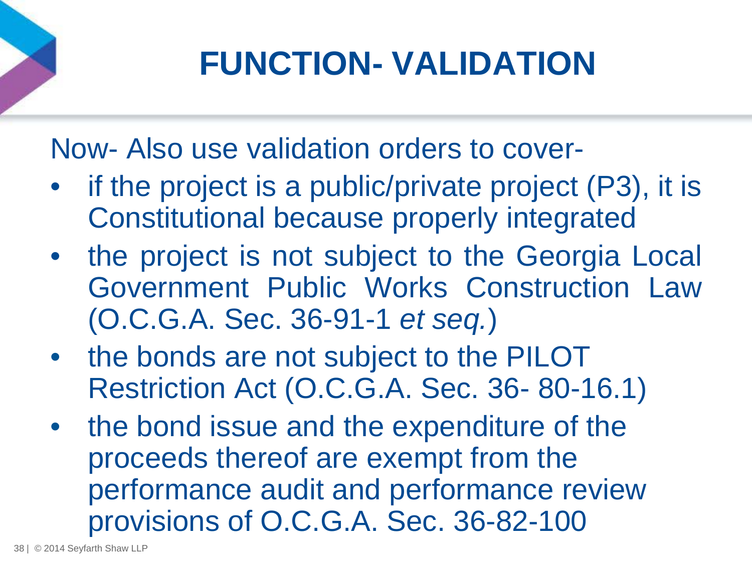# **FUNCTION- VALIDATION**

Now- Also use validation orders to cover-

- if the project is a public/private project (P3), it is Constitutional because properly integrated
- the project is not subject to the Georgia Local Government Public Works Construction Law (O.C.G.A. Sec. 36-91-1 *et seq.*)
- the bonds are not subject to the PILOT Restriction Act (O.C.G.A. Sec. 36- 80-16.1)
- the bond issue and the expenditure of the proceeds thereof are exempt from the performance audit and performance review provisions of O.C.G.A. Sec. 36-82-100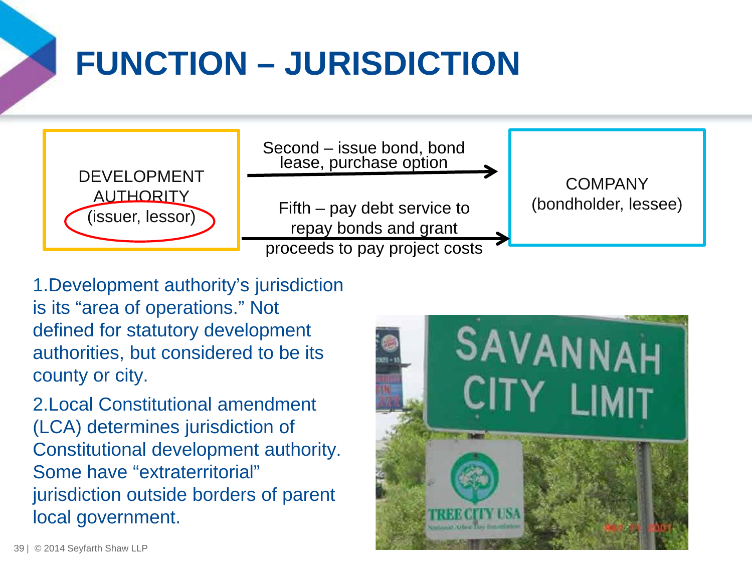# **FUNCTION – JURISDICTION**



Second – issue bond, bond lease, purchase option

Fifth – pay debt service to repay bonds and grant proceeds to pay project costs

**COMPANY** (bondholder, lessee)

1.Development authority's jurisdiction is its "area of operations." Not defined for statutory development authorities, but considered to be its county or city.

2.Local Constitutional amendment (LCA) determines jurisdiction of Constitutional development authority. Some have "extraterritorial" jurisdiction outside borders of parent local government.

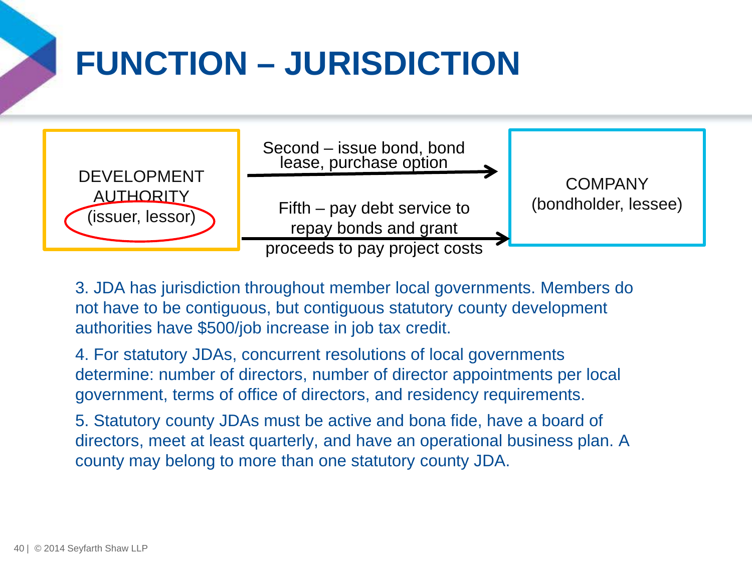# **FUNCTION – JURISDICTION**



3. JDA has jurisdiction throughout member local governments. Members do not have to be contiguous, but contiguous statutory county development authorities have \$500/job increase in job tax credit.

4. For statutory JDAs, concurrent resolutions of local governments determine: number of directors, number of director appointments per local government, terms of office of directors, and residency requirements.

5. Statutory county JDAs must be active and bona fide, have a board of directors, meet at least quarterly, and have an operational business plan. A county may belong to more than one statutory county JDA.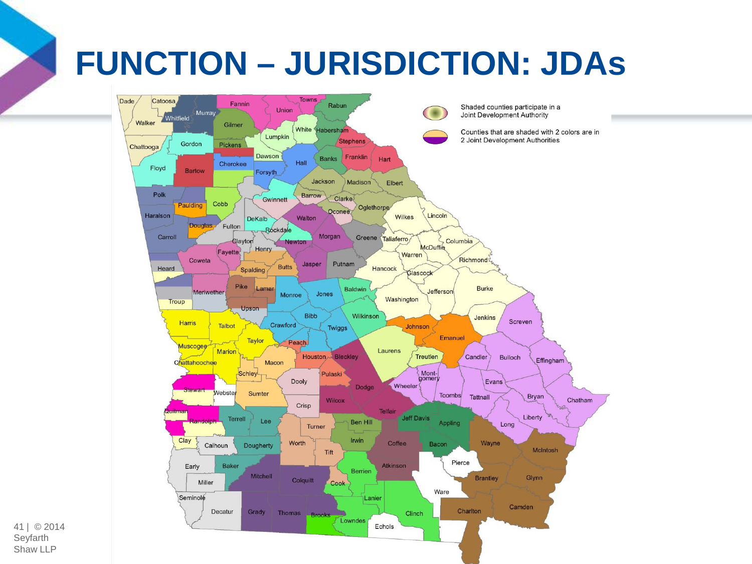# **FUNCTION – JURISDICTION: JDAs**



41 | © 2014 Seyfarth Shaw LLP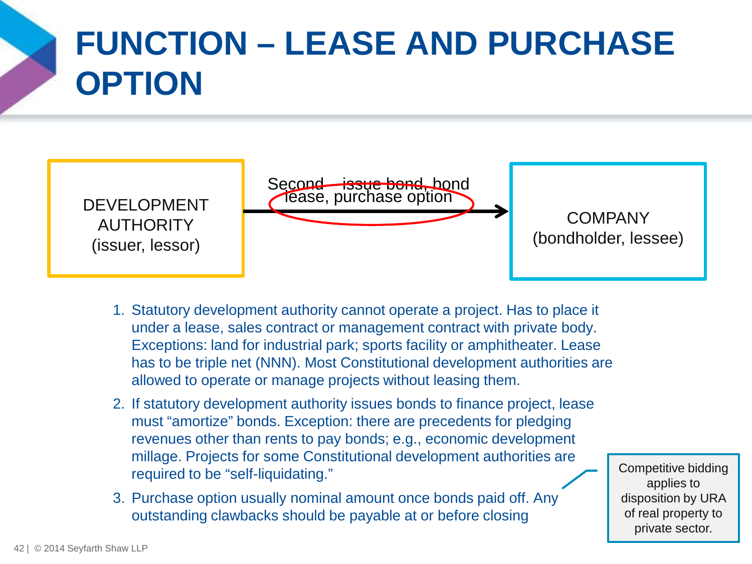

# **FUNCTION – LEASE AND PURCHASE OPTION**



- 1. Statutory development authority cannot operate a project. Has to place it under a lease, sales contract or management contract with private body. Exceptions: land for industrial park; sports facility or amphitheater. Lease has to be triple net (NNN). Most Constitutional development authorities are allowed to operate or manage projects without leasing them.
- 2. If statutory development authority issues bonds to finance project, lease must "amortize" bonds. Exception: there are precedents for pledging revenues other than rents to pay bonds; e.g., economic development millage. Projects for some Constitutional development authorities are required to be "self-liquidating."
- 3. Purchase option usually nominal amount once bonds paid off. Any outstanding clawbacks should be payable at or before closing

Competitive bidding applies to disposition by URA of real property to private sector.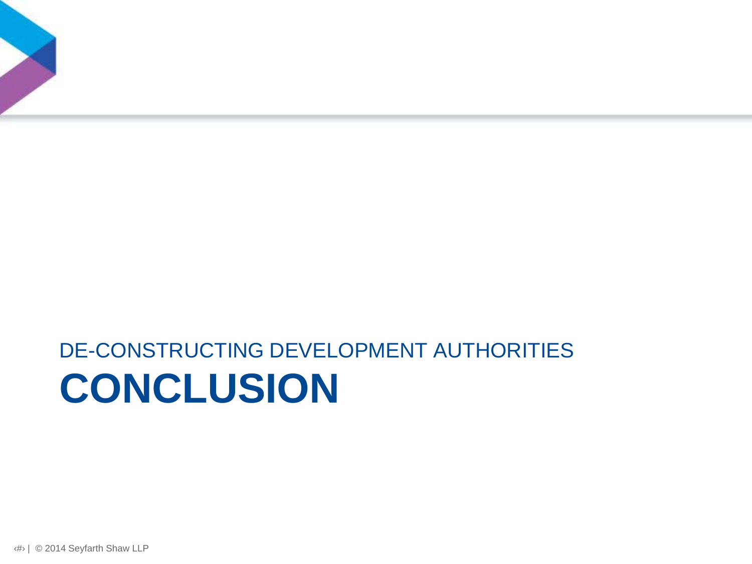

## **CONCLUSION** DE-CONSTRUCTING DEVELOPMENT AUTHORITIES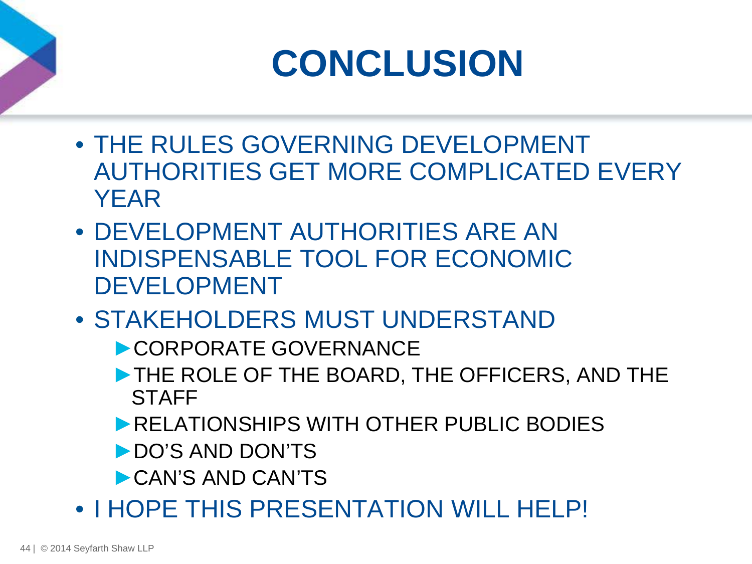# **CONCLUSION**

- THE RULES GOVERNING DEVELOPMENT AUTHORITIES GET MORE COMPLICATED EVERY YEAR
- DEVELOPMENT AUTHORITIES ARE AN INDISPENSABLE TOOL FOR ECONOMIC DEVELOPMENT
- STAKEHOLDERS MUST UNDERSTAND
	- ►CORPORATE GOVERNANCE
	- ►THE ROLE OF THE BOARD, THE OFFICERS, AND THE **STAFF**
	- ►RELATIONSHIPS WITH OTHER PUBLIC BODIES
	- ►DO'S AND DON'TS
	- ►CAN'S AND CAN'TS
- I HOPE THIS PRESENTATION WILL HELP!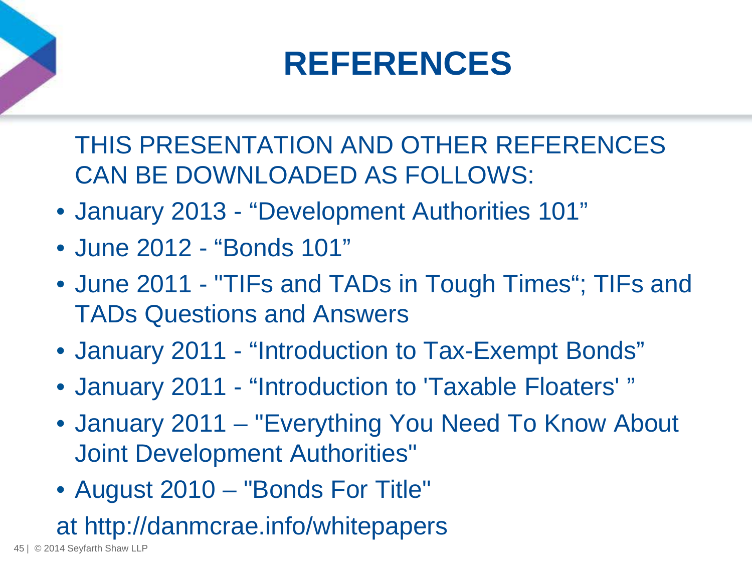## **REFERENCES**

THIS PRESENTATION AND OTHER REFERENCES CAN BE DOWNLOADED AS FOLLOWS:

- January 2013 "Development Authorities 101"
- June 2012 "Bonds 101"
- June 2011 "TIFs and TADs in Tough Times"; TIFs and TADs Questions and Answers
- January 2011 "Introduction to Tax-Exempt Bonds"
- January 2011 "Introduction to 'Taxable Floaters' "
- January 2011 "Everything You Need To Know About Joint Development Authorities"
- August 2010 "Bonds For Title"

at http://danmcrae.info/whitepapers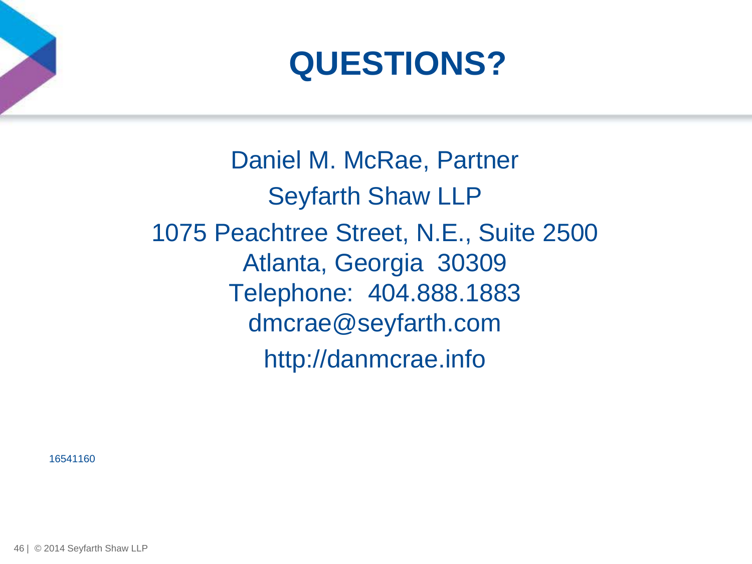



Daniel M. McRae, Partner Seyfarth Shaw LLP 1075 Peachtree Street, N.E., Suite 2500 Atlanta, Georgia 30309 Telephone: 404.888.1883 dmcrae@seyfarth.com http://danmcrae.info

16541160